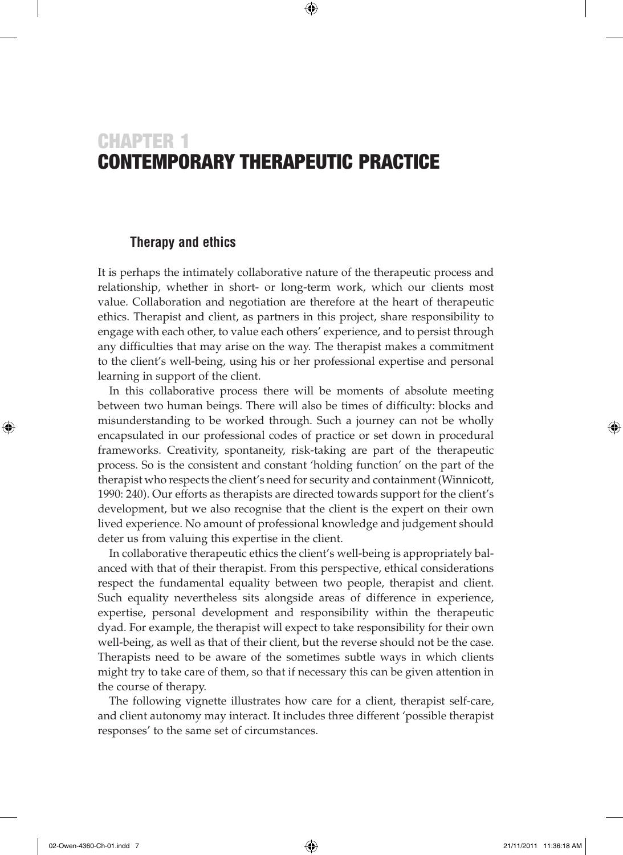# CHAPTER 1 CONTEMPORARY THERAPEUTIC PRACTICE

 $\textcircled{\scriptsize{*}}$ 

## **Therapy and ethics**

It is perhaps the intimately collaborative nature of the therapeutic process and relationship, whether in short- or long-term work, which our clients most value. Collaboration and negotiation are therefore at the heart of therapeutic ethics. Therapist and client, as partners in this project, share responsibility to engage with each other, to value each others' experience, and to persist through any difficulties that may arise on the way. The therapist makes a commitment to the client's well-being, using his or her professional expertise and personal learning in support of the client.

In this collaborative process there will be moments of absolute meeting between two human beings. There will also be times of difficulty: blocks and misunderstanding to be worked through. Such a journey can not be wholly encapsulated in our professional codes of practice or set down in procedural frameworks. Creativity, spontaneity, risk-taking are part of the therapeutic process. So is the consistent and constant 'holding function' on the part of the therapist who respects the client's need for security and containment (Winnicott, 1990: 240). Our efforts as therapists are directed towards support for the client's development, but we also recognise that the client is the expert on their own lived experience. No amount of professional knowledge and judgement should deter us from valuing this expertise in the client.

In collaborative therapeutic ethics the client's well-being is appropriately balanced with that of their therapist. From this perspective, ethical considerations respect the fundamental equality between two people, therapist and client. Such equality nevertheless sits alongside areas of difference in experience, expertise, personal development and responsibility within the therapeutic dyad. For example, the therapist will expect to take responsibility for their own well-being, as well as that of their client, but the reverse should not be the case. Therapists need to be aware of the sometimes subtle ways in which clients might try to take care of them, so that if necessary this can be given attention in the course of therapy.

The following vignette illustrates how care for a client, therapist self-care, and client autonomy may interact. It includes three different 'possible therapist responses' to the same set of circumstances.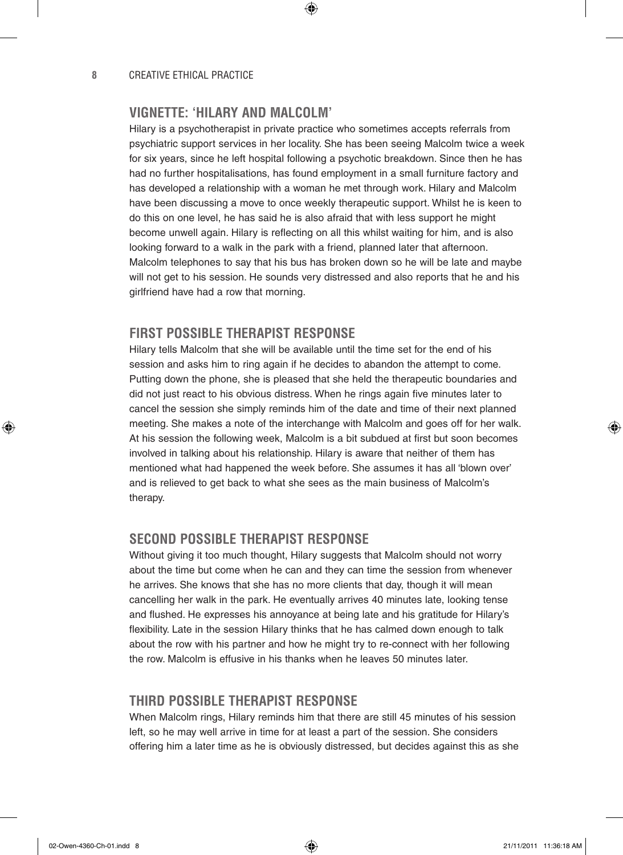# **VIGNETTE: 'HILARY AND MALCOLM'**

Hilary is a psychotherapist in private practice who sometimes accepts referrals from psychiatric support services in her locality. She has been seeing Malcolm twice a week for six years, since he left hospital following a psychotic breakdown. Since then he has had no further hospitalisations, has found employment in a small furniture factory and has developed a relationship with a woman he met through work. Hilary and Malcolm have been discussing a move to once weekly therapeutic support. Whilst he is keen to do this on one level, he has said he is also afraid that with less support he might become unwell again. Hilary is reflecting on all this whilst waiting for him, and is also looking forward to a walk in the park with a friend, planned later that afternoon. Malcolm telephones to say that his bus has broken down so he will be late and maybe will not get to his session. He sounds very distressed and also reports that he and his girlfriend have had a row that morning.

⊕

# **FIRST POSSIBLE THERAPIST RESPONSE**

Hilary tells Malcolm that she will be available until the time set for the end of his session and asks him to ring again if he decides to abandon the attempt to come. Putting down the phone, she is pleased that she held the therapeutic boundaries and did not just react to his obvious distress. When he rings again five minutes later to cancel the session she simply reminds him of the date and time of their next planned meeting. She makes a note of the interchange with Malcolm and goes off for her walk. At his session the following week, Malcolm is a bit subdued at first but soon becomes involved in talking about his relationship. Hilary is aware that neither of them has mentioned what had happened the week before. She assumes it has all 'blown over' and is relieved to get back to what she sees as the main business of Malcolm's therapy.

# **SECOND POSSIBLE THERAPIST RESPONSE**

Without giving it too much thought, Hilary suggests that Malcolm should not worry about the time but come when he can and they can time the session from whenever he arrives. She knows that she has no more clients that day, though it will mean cancelling her walk in the park. He eventually arrives 40 minutes late, looking tense and flushed. He expresses his annoyance at being late and his gratitude for Hilary's flexibility. Late in the session Hilary thinks that he has calmed down enough to talk about the row with his partner and how he might try to re-connect with her following the row. Malcolm is effusive in his thanks when he leaves 50 minutes later.

# **THIRD POSSIBLE THERAPIST RESPONSE**

When Malcolm rings, Hilary reminds him that there are still 45 minutes of his session left, so he may well arrive in time for at least a part of the session. She considers offering him a later time as he is obviously distressed, but decides against this as she

02-Owen-4360-Ch-01.indd 8 21/11/2011 11:36:18 AM

♠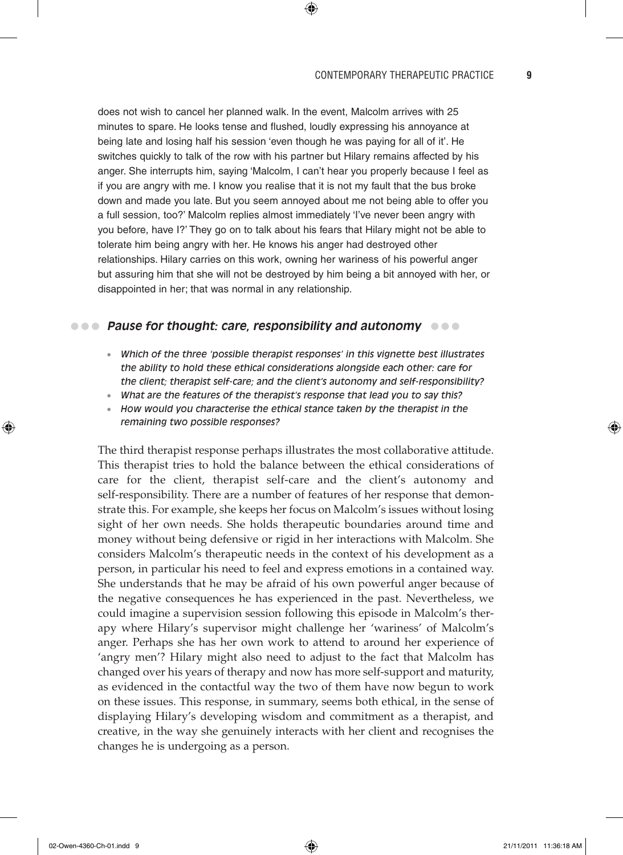does not wish to cancel her planned walk. In the event, Malcolm arrives with 25 minutes to spare. He looks tense and flushed, loudly expressing his annoyance at being late and losing half his session 'even though he was paying for all of it'. He switches quickly to talk of the row with his partner but Hilary remains affected by his anger. She interrupts him, saying 'Malcolm, I can't hear you properly because I feel as if you are angry with me. I know you realise that it is not my fault that the bus broke down and made you late. But you seem annoyed about me not being able to offer you a full session, too?' Malcolm replies almost immediately 'I've never been angry with you before, have I?' They go on to talk about his fears that Hilary might not be able to tolerate him being angry with her. He knows his anger had destroyed other relationships. Hilary carries on this work, owning her wariness of his powerful anger but assuring him that she will not be destroyed by him being a bit annoyed with her, or disappointed in her; that was normal in any relationship.

 $\textcircled{\scriptsize{*}}$ 

# **•••** Pause for thought: care, responsibility and autonomy  $\bullet \bullet \bullet$

- *Which of the three 'possible therapist responses' in this vignette best illustrates the ability to hold these ethical considerations alongside each other: care for the client; therapist self-care; and the client's autonomy and self-responsibility?*
- *What are the features of the therapist's response that lead you to say this?*
- *How would you characterise the ethical stance taken by the therapist in the remaining two possible responses?*

The third therapist response perhaps illustrates the most collaborative attitude. This therapist tries to hold the balance between the ethical considerations of care for the client, therapist self-care and the client's autonomy and self-responsibility. There are a number of features of her response that demonstrate this. For example, she keeps her focus on Malcolm's issues without losing sight of her own needs. She holds therapeutic boundaries around time and money without being defensive or rigid in her interactions with Malcolm. She considers Malcolm's therapeutic needs in the context of his development as a person, in particular his need to feel and express emotions in a contained way. She understands that he may be afraid of his own powerful anger because of the negative consequences he has experienced in the past. Nevertheless, we could imagine a supervision session following this episode in Malcolm's therapy where Hilary's supervisor might challenge her 'wariness' of Malcolm's anger. Perhaps she has her own work to attend to around her experience of 'angry men'? Hilary might also need to adjust to the fact that Malcolm has changed over his years of therapy and now has more self-support and maturity, as evidenced in the contactful way the two of them have now begun to work on these issues. This response, in summary, seems both ethical, in the sense of displaying Hilary's developing wisdom and commitment as a therapist, and creative, in the way she genuinely interacts with her client and recognises the changes he is undergoing as a person.

♠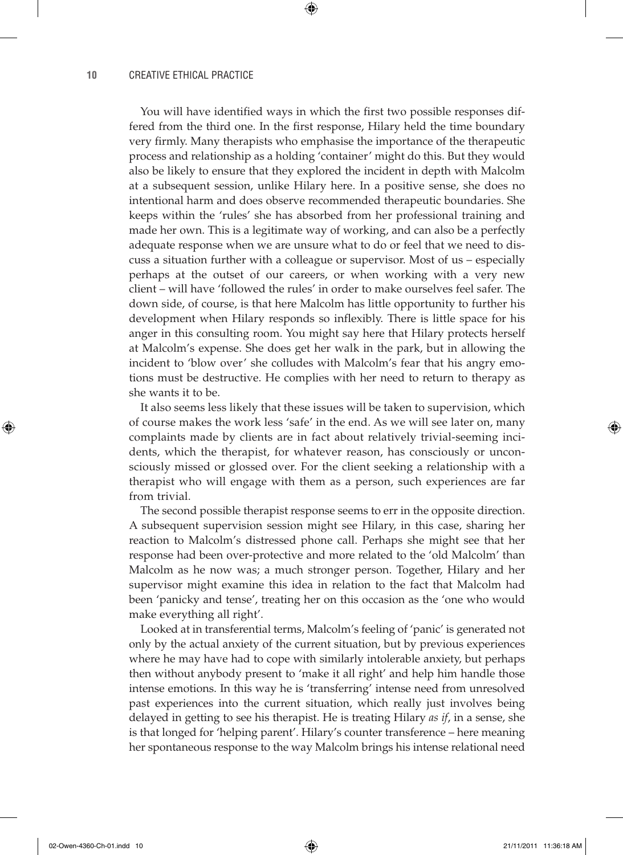You will have identified ways in which the first two possible responses differed from the third one. In the first response, Hilary held the time boundary very firmly. Many therapists who emphasise the importance of the therapeutic process and relationship as a holding 'container' might do this. But they would also be likely to ensure that they explored the incident in depth with Malcolm at a subsequent session, unlike Hilary here. In a positive sense, she does no intentional harm and does observe recommended therapeutic boundaries. She keeps within the 'rules' she has absorbed from her professional training and made her own. This is a legitimate way of working, and can also be a perfectly adequate response when we are unsure what to do or feel that we need to discuss a situation further with a colleague or supervisor. Most of us – especially perhaps at the outset of our careers, or when working with a very new client – will have 'followed the rules' in order to make ourselves feel safer. The down side, of course, is that here Malcolm has little opportunity to further his development when Hilary responds so inflexibly. There is little space for his anger in this consulting room. You might say here that Hilary protects herself at Malcolm's expense. She does get her walk in the park, but in allowing the incident to 'blow over' she colludes with Malcolm's fear that his angry emotions must be destructive. He complies with her need to return to therapy as she wants it to be.

⊕

It also seems less likely that these issues will be taken to supervision, which of course makes the work less 'safe' in the end. As we will see later on, many complaints made by clients are in fact about relatively trivial-seeming incidents, which the therapist, for whatever reason, has consciously or unconsciously missed or glossed over. For the client seeking a relationship with a therapist who will engage with them as a person, such experiences are far from trivial.

The second possible therapist response seems to err in the opposite direction. A subsequent supervision session might see Hilary, in this case, sharing her reaction to Malcolm's distressed phone call. Perhaps she might see that her response had been over-protective and more related to the 'old Malcolm' than Malcolm as he now was; a much stronger person. Together, Hilary and her supervisor might examine this idea in relation to the fact that Malcolm had been 'panicky and tense', treating her on this occasion as the 'one who would make everything all right'.

Looked at in transferential terms, Malcolm's feeling of 'panic' is generated not only by the actual anxiety of the current situation, but by previous experiences where he may have had to cope with similarly intolerable anxiety, but perhaps then without anybody present to 'make it all right' and help him handle those intense emotions. In this way he is 'transferring' intense need from unresolved past experiences into the current situation, which really just involves being delayed in getting to see his therapist. He is treating Hilary *as if*, in a sense, she is that longed for 'helping parent'. Hilary's counter transference – here meaning her spontaneous response to the way Malcolm brings his intense relational need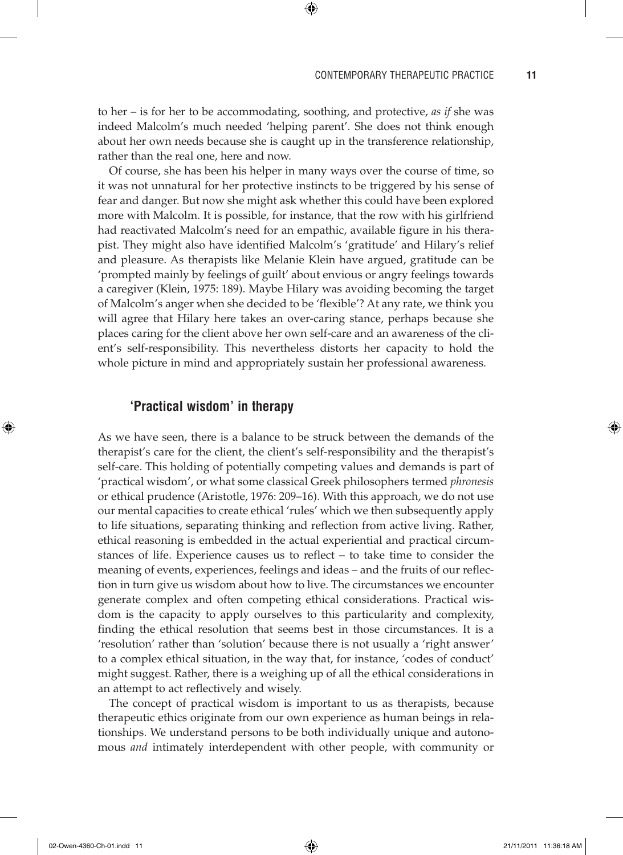to her – is for her to be accommodating, soothing, and protective, *as if* she was indeed Malcolm's much needed 'helping parent'. She does not think enough about her own needs because she is caught up in the transference relationship, rather than the real one, here and now.

⊕

Of course, she has been his helper in many ways over the course of time, so it was not unnatural for her protective instincts to be triggered by his sense of fear and danger. But now she might ask whether this could have been explored more with Malcolm. It is possible, for instance, that the row with his girlfriend had reactivated Malcolm's need for an empathic, available figure in his therapist. They might also have identified Malcolm's 'gratitude' and Hilary's relief and pleasure. As therapists like Melanie Klein have argued, gratitude can be 'prompted mainly by feelings of guilt' about envious or angry feelings towards a caregiver (Klein, 1975: 189). Maybe Hilary was avoiding becoming the target of Malcolm's anger when she decided to be 'flexible'? At any rate, we think you will agree that Hilary here takes an over-caring stance, perhaps because she places caring for the client above her own self-care and an awareness of the client's self-responsibility. This nevertheless distorts her capacity to hold the whole picture in mind and appropriately sustain her professional awareness.

## **'Practical wisdom' in therapy**

As we have seen, there is a balance to be struck between the demands of the therapist's care for the client, the client's self-responsibility and the therapist's self-care. This holding of potentially competing values and demands is part of 'practical wisdom', or what some classical Greek philosophers termed *phronesis* or ethical prudence (Aristotle, 1976: 209–16). With this approach, we do not use our mental capacities to create ethical 'rules' which we then subsequently apply to life situations, separating thinking and reflection from active living. Rather, ethical reasoning is embedded in the actual experiential and practical circumstances of life. Experience causes us to reflect – to take time to consider the meaning of events, experiences, feelings and ideas – and the fruits of our reflection in turn give us wisdom about how to live. The circumstances we encounter generate complex and often competing ethical considerations. Practical wisdom is the capacity to apply ourselves to this particularity and complexity, finding the ethical resolution that seems best in those circumstances. It is a 'resolution' rather than 'solution' because there is not usually a 'right answer' to a complex ethical situation, in the way that, for instance, 'codes of conduct' might suggest. Rather, there is a weighing up of all the ethical considerations in an attempt to act reflectively and wisely.

The concept of practical wisdom is important to us as therapists, because therapeutic ethics originate from our own experience as human beings in relationships. We understand persons to be both individually unique and autonomous *and* intimately interdependent with other people, with community or

02-Owen-4360-Ch-01.indd 11 2011 11:36:18 AM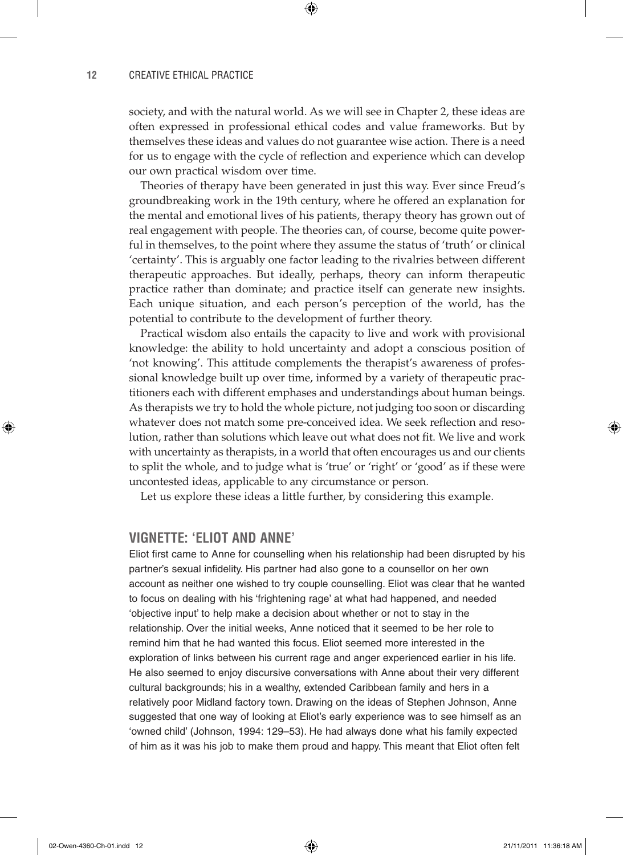society, and with the natural world. As we will see in Chapter 2, these ideas are often expressed in professional ethical codes and value frameworks. But by themselves these ideas and values do not guarantee wise action. There is a need for us to engage with the cycle of reflection and experience which can develop our own practical wisdom over time.

⊕

Theories of therapy have been generated in just this way. Ever since Freud's groundbreaking work in the 19th century, where he offered an explanation for the mental and emotional lives of his patients, therapy theory has grown out of real engagement with people. The theories can, of course, become quite powerful in themselves, to the point where they assume the status of 'truth' or clinical 'certainty'. This is arguably one factor leading to the rivalries between different therapeutic approaches. But ideally, perhaps, theory can inform therapeutic practice rather than dominate; and practice itself can generate new insights. Each unique situation, and each person's perception of the world, has the potential to contribute to the development of further theory.

Practical wisdom also entails the capacity to live and work with provisional knowledge: the ability to hold uncertainty and adopt a conscious position of 'not knowing'. This attitude complements the therapist's awareness of professional knowledge built up over time, informed by a variety of therapeutic practitioners each with different emphases and understandings about human beings. As therapists we try to hold the whole picture, not judging too soon or discarding whatever does not match some pre-conceived idea. We seek reflection and resolution, rather than solutions which leave out what does not fit. We live and work with uncertainty as therapists, in a world that often encourages us and our clients to split the whole, and to judge what is 'true' or 'right' or 'good' as if these were uncontested ideas, applicable to any circumstance or person.

Let us explore these ideas a little further, by considering this example.

## **VIGNETTE: 'ELIOT AND ANNE'**

Eliot first came to Anne for counselling when his relationship had been disrupted by his partner's sexual infidelity. His partner had also gone to a counsellor on her own account as neither one wished to try couple counselling. Eliot was clear that he wanted to focus on dealing with his 'frightening rage' at what had happened, and needed 'objective input' to help make a decision about whether or not to stay in the relationship. Over the initial weeks, Anne noticed that it seemed to be her role to remind him that he had wanted this focus. Eliot seemed more interested in the exploration of links between his current rage and anger experienced earlier in his life. He also seemed to enjoy discursive conversations with Anne about their very different cultural backgrounds; his in a wealthy, extended Caribbean family and hers in a relatively poor Midland factory town. Drawing on the ideas of Stephen Johnson, Anne suggested that one way of looking at Eliot's early experience was to see himself as an 'owned child' (Johnson, 1994: 129–53). He had always done what his family expected of him as it was his job to make them proud and happy. This meant that Eliot often felt

⊕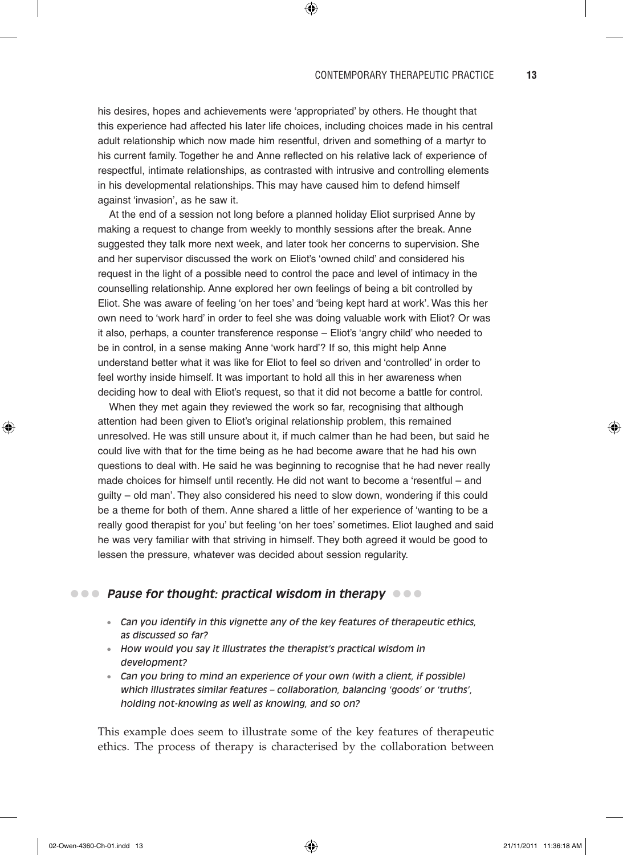his desires, hopes and achievements were 'appropriated' by others. He thought that this experience had affected his later life choices, including choices made in his central adult relationship which now made him resentful, driven and something of a martyr to his current family. Together he and Anne reflected on his relative lack of experience of respectful, intimate relationships, as contrasted with intrusive and controlling elements in his developmental relationships. This may have caused him to defend himself against 'invasion', as he saw it.

 $\bigoplus$ 

At the end of a session not long before a planned holiday Eliot surprised Anne by making a request to change from weekly to monthly sessions after the break. Anne suggested they talk more next week, and later took her concerns to supervision. She and her supervisor discussed the work on Eliot's 'owned child' and considered his request in the light of a possible need to control the pace and level of intimacy in the counselling relationship. Anne explored her own feelings of being a bit controlled by Eliot. She was aware of feeling 'on her toes' and 'being kept hard at work'. Was this her own need to 'work hard' in order to feel she was doing valuable work with Eliot? Or was it also, perhaps, a counter transference response – Eliot's 'angry child' who needed to be in control, in a sense making Anne 'work hard'? If so, this might help Anne understand better what it was like for Eliot to feel so driven and 'controlled' in order to feel worthy inside himself. It was important to hold all this in her awareness when deciding how to deal with Eliot's request, so that it did not become a battle for control.

When they met again they reviewed the work so far, recognising that although attention had been given to Eliot's original relationship problem, this remained unresolved. He was still unsure about it, if much calmer than he had been, but said he could live with that for the time being as he had become aware that he had his own questions to deal with. He said he was beginning to recognise that he had never really made choices for himself until recently. He did not want to become a 'resentful – and guilty – old man'. They also considered his need to slow down, wondering if this could be a theme for both of them. Anne shared a little of her experience of 'wanting to be a really good therapist for you' but feeling 'on her toes' sometimes. Eliot laughed and said he was very familiar with that striving in himself. They both agreed it would be good to lessen the pressure, whatever was decided about session regularity.

# **•••** Pause for thought: practical wisdom in therapy **•••**

- *Can you identify in this vignette any of the key features of therapeutic ethics, as discussed so far?*
- *How would you say it illustrates the therapist's practical wisdom in development?*
- *Can you bring to mind an experience of your own (with a client, if possible) which illustrates similar features – collaboration, balancing 'goods' or 'truths', holding not-knowing as well as knowing, and so on?*

This example does seem to illustrate some of the key features of therapeutic ethics. The process of therapy is characterised by the collaboration between

⊕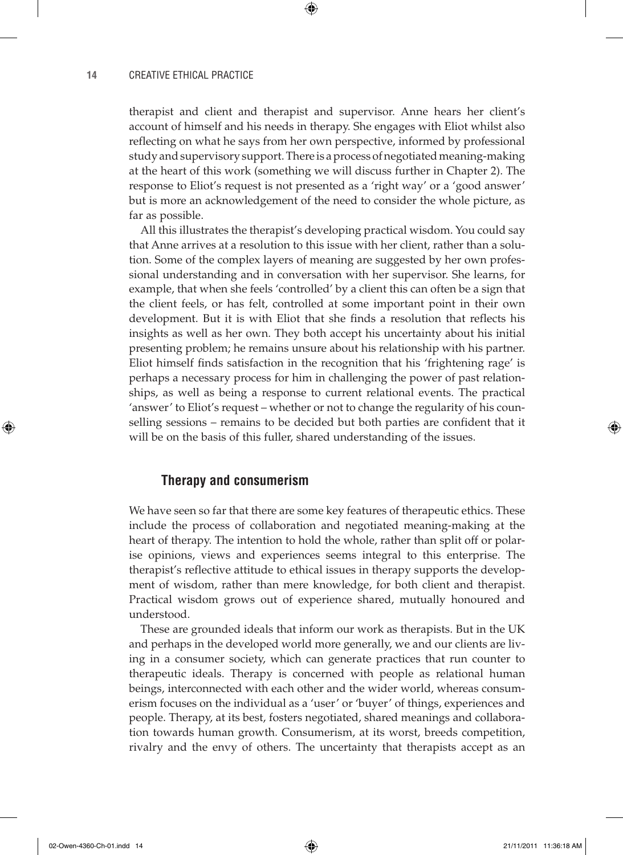therapist and client and therapist and supervisor. Anne hears her client's account of himself and his needs in therapy. She engages with Eliot whilst also reflecting on what he says from her own perspective, informed by professional study and supervisory support. There is a process of negotiated meaning-making at the heart of this work (something we will discuss further in Chapter 2). The response to Eliot's request is not presented as a 'right way' or a 'good answer' but is more an acknowledgement of the need to consider the whole picture, as far as possible.

 $\textcircled{\scriptsize{*}}$ 

All this illustrates the therapist's developing practical wisdom. You could say that Anne arrives at a resolution to this issue with her client, rather than a solution. Some of the complex layers of meaning are suggested by her own professional understanding and in conversation with her supervisor. She learns, for example, that when she feels 'controlled' by a client this can often be a sign that the client feels, or has felt, controlled at some important point in their own development. But it is with Eliot that she finds a resolution that reflects his insights as well as her own. They both accept his uncertainty about his initial presenting problem; he remains unsure about his relationship with his partner. Eliot himself finds satisfaction in the recognition that his 'frightening rage' is perhaps a necessary process for him in challenging the power of past relationships, as well as being a response to current relational events. The practical 'answer' to Eliot's request – whether or not to change the regularity of his counselling sessions – remains to be decided but both parties are confident that it will be on the basis of this fuller, shared understanding of the issues.

## **Therapy and consumerism**

We have seen so far that there are some key features of therapeutic ethics. These include the process of collaboration and negotiated meaning-making at the heart of therapy. The intention to hold the whole, rather than split off or polarise opinions, views and experiences seems integral to this enterprise. The therapist's reflective attitude to ethical issues in therapy supports the development of wisdom, rather than mere knowledge, for both client and therapist. Practical wisdom grows out of experience shared, mutually honoured and understood.

These are grounded ideals that inform our work as therapists. But in the UK and perhaps in the developed world more generally, we and our clients are living in a consumer society, which can generate practices that run counter to therapeutic ideals. Therapy is concerned with people as relational human beings, interconnected with each other and the wider world, whereas consumerism focuses on the individual as a 'user' or 'buyer' of things, experiences and people. Therapy, at its best, fosters negotiated, shared meanings and collaboration towards human growth. Consumerism, at its worst, breeds competition, rivalry and the envy of others. The uncertainty that therapists accept as an

⊕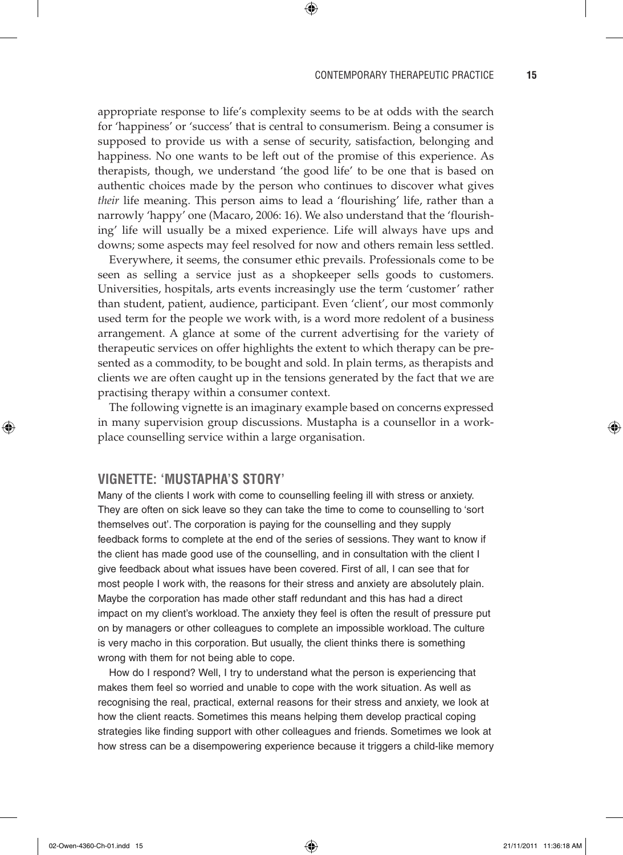#### CONTEMPORARY THERAPEUTIC PRACTICE **15**

appropriate response to life's complexity seems to be at odds with the search for 'happiness' or 'success' that is central to consumerism. Being a consumer is supposed to provide us with a sense of security, satisfaction, belonging and happiness. No one wants to be left out of the promise of this experience. As therapists, though, we understand 'the good life' to be one that is based on authentic choices made by the person who continues to discover what gives *their* life meaning. This person aims to lead a 'flourishing' life, rather than a narrowly 'happy' one (Macaro, 2006: 16). We also understand that the 'flourishing' life will usually be a mixed experience. Life will always have ups and downs; some aspects may feel resolved for now and others remain less settled.

 $\textcircled{\scriptsize{*}}$ 

Everywhere, it seems, the consumer ethic prevails. Professionals come to be seen as selling a service just as a shopkeeper sells goods to customers. Universities, hospitals, arts events increasingly use the term 'customer' rather than student, patient, audience, participant. Even 'client', our most commonly used term for the people we work with, is a word more redolent of a business arrangement. A glance at some of the current advertising for the variety of therapeutic services on offer highlights the extent to which therapy can be presented as a commodity, to be bought and sold. In plain terms, as therapists and clients we are often caught up in the tensions generated by the fact that we are practising therapy within a consumer context.

The following vignette is an imaginary example based on concerns expressed in many supervision group discussions. Mustapha is a counsellor in a workplace counselling service within a large organisation.

## **VIGNETTE: 'MUSTAPHA'S STORY'**

Many of the clients I work with come to counselling feeling ill with stress or anxiety. They are often on sick leave so they can take the time to come to counselling to 'sort themselves out'. The corporation is paying for the counselling and they supply feedback forms to complete at the end of the series of sessions. They want to know if the client has made good use of the counselling, and in consultation with the client I give feedback about what issues have been covered. First of all, I can see that for most people I work with, the reasons for their stress and anxiety are absolutely plain. Maybe the corporation has made other staff redundant and this has had a direct impact on my client's workload. The anxiety they feel is often the result of pressure put on by managers or other colleagues to complete an impossible workload. The culture is very macho in this corporation. But usually, the client thinks there is something wrong with them for not being able to cope.

How do I respond? Well, I try to understand what the person is experiencing that makes them feel so worried and unable to cope with the work situation. As well as recognising the real, practical, external reasons for their stress and anxiety, we look at how the client reacts. Sometimes this means helping them develop practical coping strategies like finding support with other colleagues and friends. Sometimes we look at how stress can be a disempowering experience because it triggers a child-like memory

⊕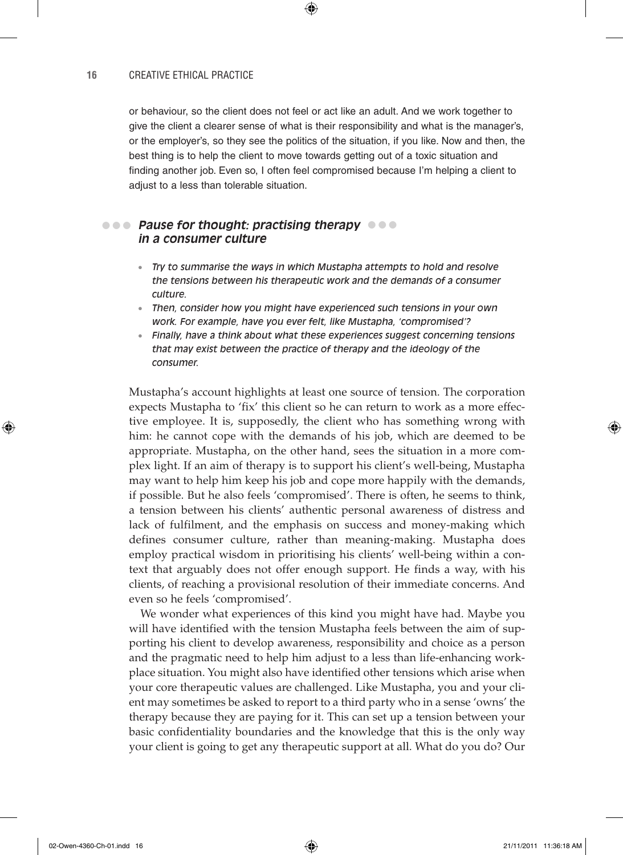or behaviour, so the client does not feel or act like an adult. And we work together to give the client a clearer sense of what is their responsibility and what is the manager's, or the employer's, so they see the politics of the situation, if you like. Now and then, the best thing is to help the client to move towards getting out of a toxic situation and finding another job. Even so, I often feel compromised because I'm helping a client to adjust to a less than tolerable situation.

⊕

# **Pause for thought: practising therapy**  ••• ••• **in a consumer culture**

- *Try to summarise the ways in which Mustapha attempts to hold and resolve the tensions between his therapeutic work and the demands of a consumer culture.*
- *Then, consider how you might have experienced such tensions in your own work. For example, have you ever felt, like Mustapha, 'compromised'?*
- *Finally, have a think about what these experiences suggest concerning tensions that may exist between the practice of therapy and the ideology of the consumer.*

Mustapha's account highlights at least one source of tension. The corporation expects Mustapha to 'fix' this client so he can return to work as a more effective employee. It is, supposedly, the client who has something wrong with him: he cannot cope with the demands of his job, which are deemed to be appropriate. Mustapha, on the other hand, sees the situation in a more complex light. If an aim of therapy is to support his client's well-being, Mustapha may want to help him keep his job and cope more happily with the demands, if possible. But he also feels 'compromised'. There is often, he seems to think, a tension between his clients' authentic personal awareness of distress and lack of fulfilment, and the emphasis on success and money-making which defines consumer culture, rather than meaning-making. Mustapha does employ practical wisdom in prioritising his clients' well-being within a context that arguably does not offer enough support. He finds a way, with his clients, of reaching a provisional resolution of their immediate concerns. And even so he feels 'compromised'.

We wonder what experiences of this kind you might have had. Maybe you will have identified with the tension Mustapha feels between the aim of supporting his client to develop awareness, responsibility and choice as a person and the pragmatic need to help him adjust to a less than life-enhancing workplace situation. You might also have identified other tensions which arise when your core therapeutic values are challenged. Like Mustapha, you and your client may sometimes be asked to report to a third party who in a sense 'owns' the therapy because they are paying for it. This can set up a tension between your basic confidentiality boundaries and the knowledge that this is the only way your client is going to get any therapeutic support at all. What do you do? Our

♠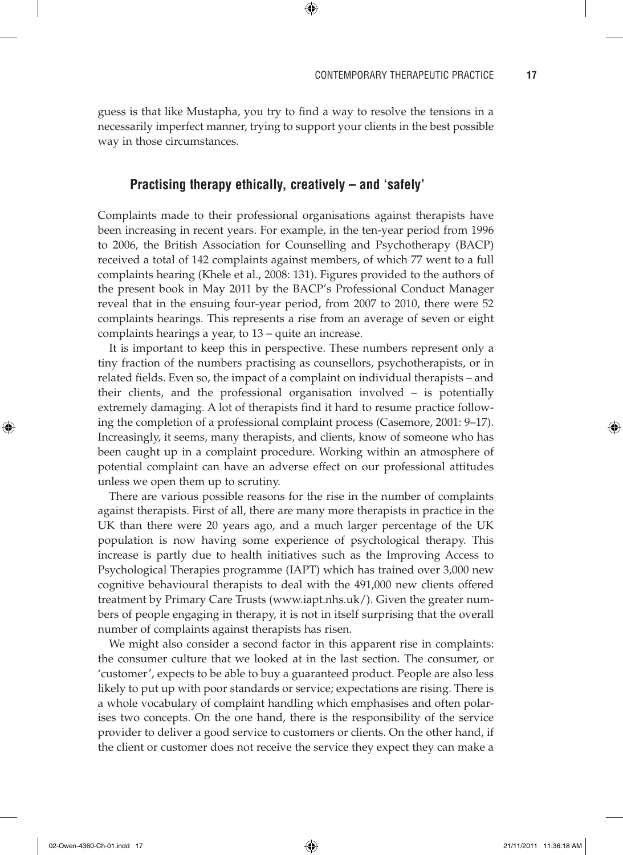$\Leftrightarrow$ 

guess is that like Mustapha, you try to find a way to resolve the tensions in a necessarily imperfect manner, trying to support your clients in the best possible way in those circumstances.

⊕

# **Practising therapy ethically, creatively – and 'safely'**

Complaints made to their professional organisations against therapists have been increasing in recent years. For example, in the ten-year period from 1996 to 2006, the British Association for Counselling and Psychotherapy (BACP) received a total of 142 complaints against members, of which 77 went to a full complaints hearing (Khele et al., 2008: 131). Figures provided to the authors of the present book in May 2011 by the BACP's Professional Conduct Manager reveal that in the ensuing four-year period, from 2007 to 2010, there were 52 complaints hearings. This represents a rise from an average of seven or eight complaints hearings a year, to 13 – quite an increase.

It is important to keep this in perspective. These numbers represent only a tiny fraction of the numbers practising as counsellors, psychotherapists, or in related fields. Even so, the impact of a complaint on individual therapists – and their clients, and the professional organisation involved – is potentially extremely damaging. A lot of therapists find it hard to resume practice following the completion of a professional complaint process (Casemore, 2001: 9–17). Increasingly, it seems, many therapists, and clients, know of someone who has been caught up in a complaint procedure. Working within an atmosphere of potential complaint can have an adverse effect on our professional attitudes unless we open them up to scrutiny.

There are various possible reasons for the rise in the number of complaints against therapists. First of all, there are many more therapists in practice in the UK than there were 20 years ago, and a much larger percentage of the UK population is now having some experience of psychological therapy. This increase is partly due to health initiatives such as the Improving Access to Psychological Therapies programme (IAPT) which has trained over 3,000 new cognitive behavioural therapists to deal with the 491,000 new clients offered treatment by Primary Care Trusts (www.iapt.nhs.uk/). Given the greater numbers of people engaging in therapy, it is not in itself surprising that the overall number of complaints against therapists has risen.

We might also consider a second factor in this apparent rise in complaints: the consumer culture that we looked at in the last section. The consumer, or 'customer', expects to be able to buy a guaranteed product. People are also less likely to put up with poor standards or service; expectations are rising. There is a whole vocabulary of complaint handling which emphasises and often polarises two concepts. On the one hand, there is the responsibility of the service provider to deliver a good service to customers or clients. On the other hand, if the client or customer does not receive the service they expect they can make a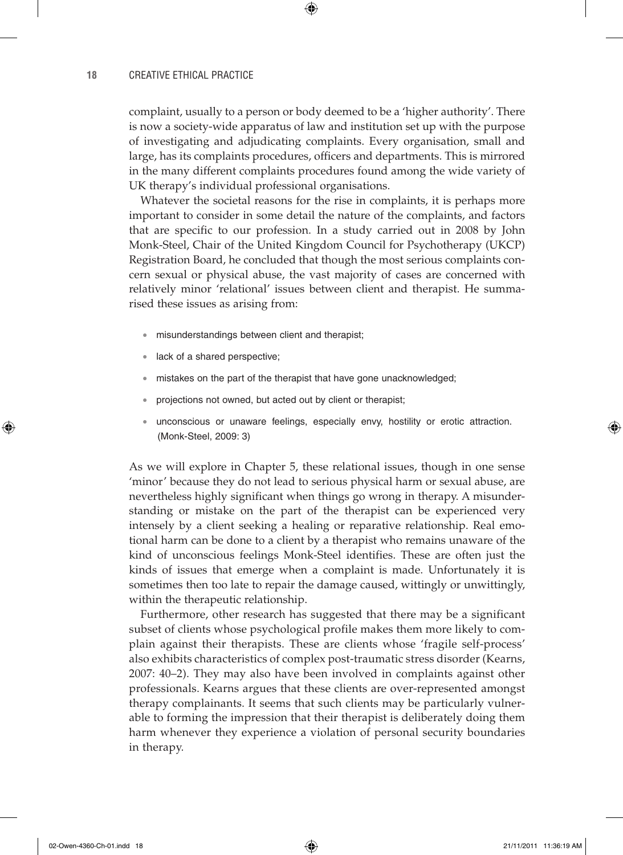complaint, usually to a person or body deemed to be a 'higher authority'. There is now a society-wide apparatus of law and institution set up with the purpose of investigating and adjudicating complaints. Every organisation, small and large, has its complaints procedures, officers and departments. This is mirrored in the many different complaints procedures found among the wide variety of UK therapy's individual professional organisations.

⊕

Whatever the societal reasons for the rise in complaints, it is perhaps more important to consider in some detail the nature of the complaints, and factors that are specific to our profession. In a study carried out in 2008 by John Monk-Steel, Chair of the United Kingdom Council for Psychotherapy (UKCP) Registration Board, he concluded that though the most serious complaints concern sexual or physical abuse, the vast majority of cases are concerned with relatively minor 'relational' issues between client and therapist. He summarised these issues as arising from:

- misunderstandings between client and therapist;
- lack of a shared perspective:
- mistakes on the part of the therapist that have gone unacknowledged;
- projections not owned, but acted out by client or therapist;
- unconscious or unaware feelings, especially envy, hostility or erotic attraction. (Monk-Steel, 2009: 3)

As we will explore in Chapter 5, these relational issues, though in one sense 'minor' because they do not lead to serious physical harm or sexual abuse, are nevertheless highly significant when things go wrong in therapy. A misunderstanding or mistake on the part of the therapist can be experienced very intensely by a client seeking a healing or reparative relationship. Real emotional harm can be done to a client by a therapist who remains unaware of the kind of unconscious feelings Monk-Steel identifies. These are often just the kinds of issues that emerge when a complaint is made. Unfortunately it is sometimes then too late to repair the damage caused, wittingly or unwittingly, within the therapeutic relationship.

Furthermore, other research has suggested that there may be a significant subset of clients whose psychological profile makes them more likely to complain against their therapists. These are clients whose 'fragile self-process' also exhibits characteristics of complex post-traumatic stress disorder (Kearns, 2007: 40–2). They may also have been involved in complaints against other professionals. Kearns argues that these clients are over-represented amongst therapy complainants. It seems that such clients may be particularly vulnerable to forming the impression that their therapist is deliberately doing them harm whenever they experience a violation of personal security boundaries in therapy.

♠

 $\Leftrightarrow$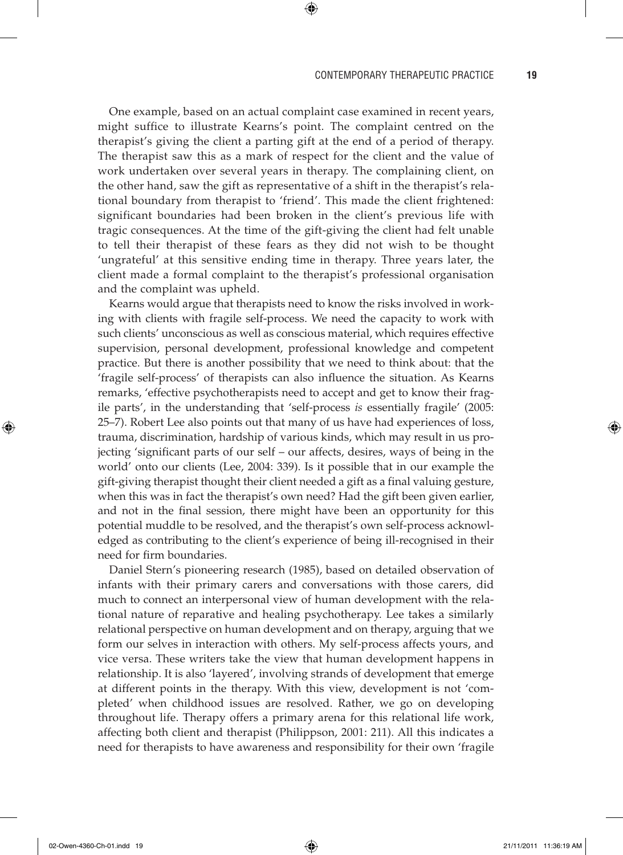#### CONTEMPORARY THERAPEUTIC PRACTICE **19**

One example, based on an actual complaint case examined in recent years, might suffice to illustrate Kearns's point. The complaint centred on the therapist's giving the client a parting gift at the end of a period of therapy. The therapist saw this as a mark of respect for the client and the value of work undertaken over several years in therapy. The complaining client, on the other hand, saw the gift as representative of a shift in the therapist's relational boundary from therapist to 'friend'. This made the client frightened: significant boundaries had been broken in the client's previous life with tragic consequences. At the time of the gift-giving the client had felt unable to tell their therapist of these fears as they did not wish to be thought 'ungrateful' at this sensitive ending time in therapy. Three years later, the client made a formal complaint to the therapist's professional organisation and the complaint was upheld.

 $\textcircled{\scriptsize{*}}$ 

Kearns would argue that therapists need to know the risks involved in working with clients with fragile self-process. We need the capacity to work with such clients' unconscious as well as conscious material, which requires effective supervision, personal development, professional knowledge and competent practice. But there is another possibility that we need to think about: that the 'fragile self-process' of therapists can also influence the situation. As Kearns remarks, 'effective psychotherapists need to accept and get to know their fragile parts', in the understanding that 'self-process *is* essentially fragile' (2005: 25–7). Robert Lee also points out that many of us have had experiences of loss, trauma, discrimination, hardship of various kinds, which may result in us projecting 'significant parts of our self – our affects, desires, ways of being in the world' onto our clients (Lee, 2004: 339). Is it possible that in our example the gift-giving therapist thought their client needed a gift as a final valuing gesture, when this was in fact the therapist's own need? Had the gift been given earlier, and not in the final session, there might have been an opportunity for this potential muddle to be resolved, and the therapist's own self-process acknowledged as contributing to the client's experience of being ill-recognised in their need for firm boundaries.

Daniel Stern's pioneering research (1985), based on detailed observation of infants with their primary carers and conversations with those carers, did much to connect an interpersonal view of human development with the relational nature of reparative and healing psychotherapy. Lee takes a similarly relational perspective on human development and on therapy, arguing that we form our selves in interaction with others. My self-process affects yours, and vice versa. These writers take the view that human development happens in relationship. It is also 'layered', involving strands of development that emerge at different points in the therapy. With this view, development is not 'completed' when childhood issues are resolved. Rather, we go on developing throughout life. Therapy offers a primary arena for this relational life work, affecting both client and therapist (Philippson, 2001: 211). All this indicates a need for therapists to have awareness and responsibility for their own 'fragile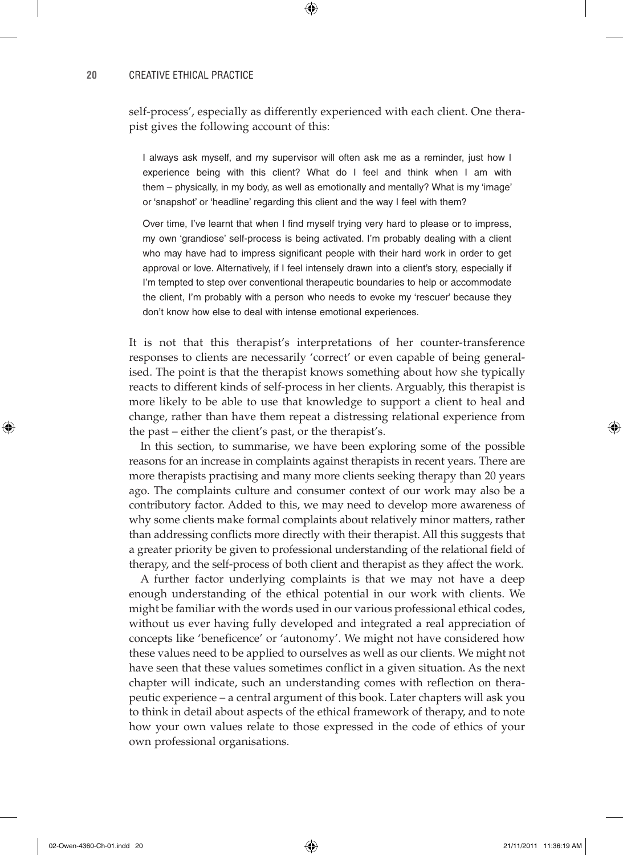self-process', especially as differently experienced with each client. One therapist gives the following account of this:

⊕

I always ask myself, and my supervisor will often ask me as a reminder, just how I experience being with this client? What do I feel and think when I am with them – physically, in my body, as well as emotionally and mentally? What is my 'image' or 'snapshot' or 'headline' regarding this client and the way I feel with them?

Over time, I've learnt that when I find myself trying very hard to please or to impress, my own 'grandiose' self-process is being activated. I'm probably dealing with a client who may have had to impress significant people with their hard work in order to get approval or love. Alternatively, if I feel intensely drawn into a client's story, especially if I'm tempted to step over conventional therapeutic boundaries to help or accommodate the client, I'm probably with a person who needs to evoke my 'rescuer' because they don't know how else to deal with intense emotional experiences.

It is not that this therapist's interpretations of her counter-transference responses to clients are necessarily 'correct' or even capable of being generalised. The point is that the therapist knows something about how she typically reacts to different kinds of self-process in her clients. Arguably, this therapist is more likely to be able to use that knowledge to support a client to heal and change, rather than have them repeat a distressing relational experience from the past – either the client's past, or the therapist's.

In this section, to summarise, we have been exploring some of the possible reasons for an increase in complaints against therapists in recent years. There are more therapists practising and many more clients seeking therapy than 20 years ago. The complaints culture and consumer context of our work may also be a contributory factor. Added to this, we may need to develop more awareness of why some clients make formal complaints about relatively minor matters, rather than addressing conflicts more directly with their therapist. All this suggests that a greater priority be given to professional understanding of the relational field of therapy, and the self-process of both client and therapist as they affect the work.

A further factor underlying complaints is that we may not have a deep enough understanding of the ethical potential in our work with clients. We might be familiar with the words used in our various professional ethical codes, without us ever having fully developed and integrated a real appreciation of concepts like 'beneficence' or 'autonomy'. We might not have considered how these values need to be applied to ourselves as well as our clients. We might not have seen that these values sometimes conflict in a given situation. As the next chapter will indicate, such an understanding comes with reflection on therapeutic experience – a central argument of this book. Later chapters will ask you to think in detail about aspects of the ethical framework of therapy, and to note how your own values relate to those expressed in the code of ethics of your own professional organisations.

02-Owen-4360-Ch-01.indd 20 21/11/2011 11:36:19 AM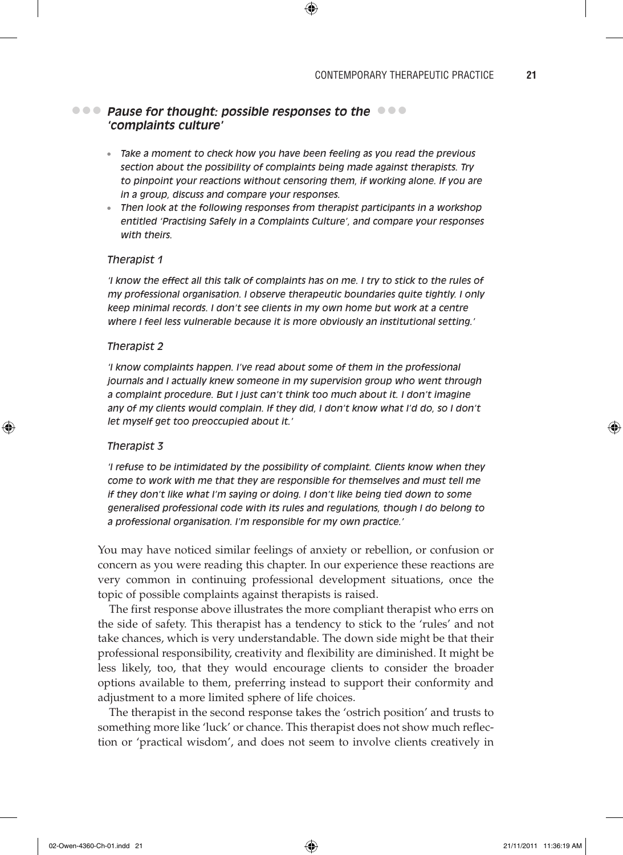# **Pause for thought: possible responses to the**  $\bullet \bullet \bullet$ **'complaints culture'**

• *Take a moment to check how you have been feeling as you read the previous section about the possibility of complaints being made against therapists. Try to pinpoint your reactions without censoring them, if working alone. If you are in a group, discuss and compare your responses.*

⊕

• *Then look at the following responses from therapist participants in a workshop entitled 'Practising Safely in a Complaints Culture', and compare your responses with theirs.*

### *Therapist 1*

*'I know the effect all this talk of complaints has on me. I try to stick to the rules of my professional organisation. I observe therapeutic boundaries quite tightly. I only keep minimal records. I don't see clients in my own home but work at a centre where I feel less vulnerable because it is more obviously an institutional setting.'*

#### *Therapist 2*

*'I know complaints happen. I've read about some of them in the professional journals and I actually knew someone in my supervision group who went through a complaint procedure. But I just can't think too much about it. I don't imagine any of my clients would complain. If they did, I don't know what I'd do, so I don't let myself get too preoccupied about it.'*

#### *Therapist 3*

♠

*'I refuse to be intimidated by the possibility of complaint. Clients know when they come to work with me that they are responsible for themselves and must tell me if they don't like what I'm saying or doing. I don't like being tied down to some generalised professional code with its rules and regulations, though I do belong to a professional organisation. I'm responsible for my own practice.'*

You may have noticed similar feelings of anxiety or rebellion, or confusion or concern as you were reading this chapter. In our experience these reactions are very common in continuing professional development situations, once the topic of possible complaints against therapists is raised.

The first response above illustrates the more compliant therapist who errs on the side of safety. This therapist has a tendency to stick to the 'rules' and not take chances, which is very understandable. The down side might be that their professional responsibility, creativity and flexibility are diminished. It might be less likely, too, that they would encourage clients to consider the broader options available to them, preferring instead to support their conformity and adjustment to a more limited sphere of life choices.

The therapist in the second response takes the 'ostrich position' and trusts to something more like 'luck' or chance. This therapist does not show much reflection or 'practical wisdom', and does not seem to involve clients creatively in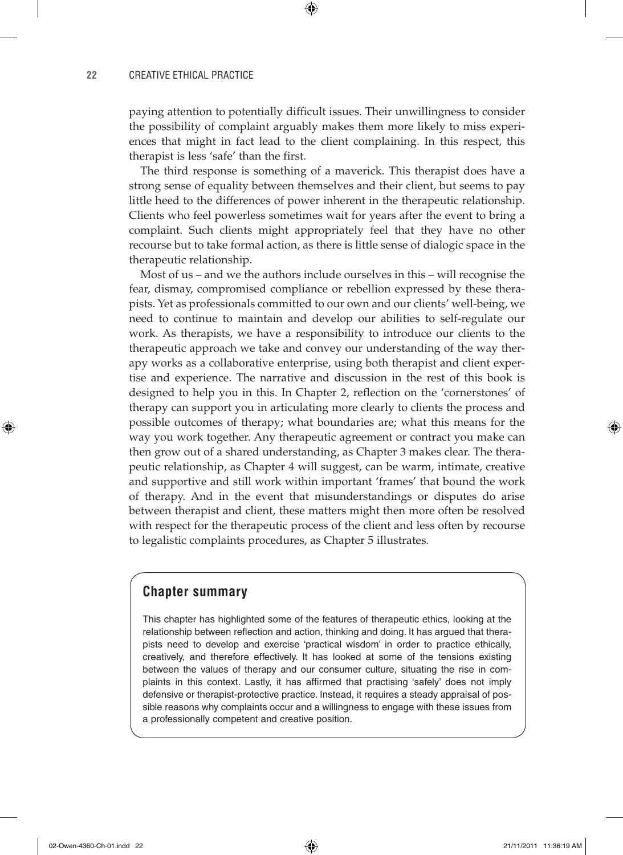paying attention to potentially difficult issues. Their unwillingness to consider the possibility of complaint arguably makes them more likely to miss experiences that might in fact lead to the client complaining. In this respect, this therapist is less 'safe' than the first.

⊕

The third response is something of a maverick. This therapist does have a strong sense of equality between themselves and their client, but seems to pay little heed to the differences of power inherent in the therapeutic relationship. Clients who feel powerless sometimes wait for years after the event to bring a complaint. Such clients might appropriately feel that they have no other recourse but to take formal action, as there is little sense of dialogic space in the therapeutic relationship.

Most of us – and we the authors include ourselves in this – will recognise the fear, dismay, compromised compliance or rebellion expressed by these therapists. Yet as professionals committed to our own and our clients' well-being, we need to continue to maintain and develop our abilities to self-regulate our work. As therapists, we have a responsibility to introduce our clients to the therapeutic approach we take and convey our understanding of the way therapy works as a collaborative enterprise, using both therapist and client expertise and experience. The narrative and discussion in the rest of this book is designed to help you in this. In Chapter 2, reflection on the 'cornerstones' of therapy can support you in articulating more clearly to clients the process and possible outcomes of therapy; what boundaries are; what this means for the way you work together. Any therapeutic agreement or contract you make can then grow out of a shared understanding, as Chapter 3 makes clear. The therapeutic relationship, as Chapter 4 will suggest, can be warm, intimate, creative and supportive and still work within important 'frames' that bound the work of therapy. And in the event that misunderstandings or disputes do arise between therapist and client, these matters might then more often be resolved with respect for the therapeutic process of the client and less often by recourse to legalistic complaints procedures, as Chapter 5 illustrates.

# **Chapter summary**

This chapter has highlighted some of the features of therapeutic ethics, looking at the relationship between reflection and action, thinking and doing. It has argued that therapists need to develop and exercise 'practical wisdom' in order to practice ethically, creatively, and therefore effectively. It has looked at some of the tensions existing between the values of therapy and our consumer culture, situating the rise in complaints in this context. Lastly, it has affirmed that practising 'safely' does not imply defensive or therapist-protective practice. Instead, it requires a steady appraisal of possible reasons why complaints occur and a willingness to engage with these issues from a professionally competent and creative position.